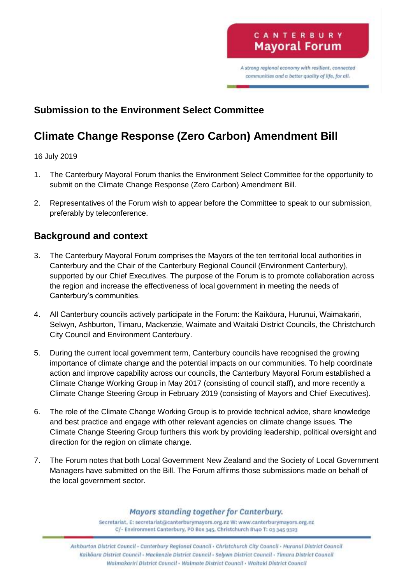A strong regional economy with resilient, connected communities and a better quality of life, for all.

## **Submission to the Environment Select Committee**

# **Climate Change Response (Zero Carbon) Amendment Bill**

#### 16 July 2019

- 1. The Canterbury Mayoral Forum thanks the Environment Select Committee for the opportunity to submit on the Climate Change Response (Zero Carbon) Amendment Bill.
- 2. Representatives of the Forum wish to appear before the Committee to speak to our submission, preferably by teleconference.

### **Background and context**

- 3. The Canterbury Mayoral Forum comprises the Mayors of the ten territorial local authorities in Canterbury and the Chair of the Canterbury Regional Council (Environment Canterbury), supported by our Chief Executives. The purpose of the Forum is to promote collaboration across the region and increase the effectiveness of local government in meeting the needs of Canterbury's communities.
- 4. All Canterbury councils actively participate in the Forum: the Kaikōura, Hurunui, Waimakariri, Selwyn, Ashburton, Timaru, Mackenzie, Waimate and Waitaki District Councils, the Christchurch City Council and Environment Canterbury.
- 5. During the current local government term, Canterbury councils have recognised the growing importance of climate change and the potential impacts on our communities. To help coordinate action and improve capability across our councils, the Canterbury Mayoral Forum established a Climate Change Working Group in May 2017 (consisting of council staff), and more recently a Climate Change Steering Group in February 2019 (consisting of Mayors and Chief Executives).
- 6. The role of the Climate Change Working Group is to provide technical advice, share knowledge and best practice and engage with other relevant agencies on climate change issues. The Climate Change Steering Group furthers this work by providing leadership, political oversight and direction for the region on climate change.
- 7. The Forum notes that both Local Government New Zealand and the Society of Local Government Managers have submitted on the Bill. The Forum affirms those submissions made on behalf of the local government sector.

#### Mayors standing together for Canterbury.

Secretariat, E: secretariat@canterburymayors.org.nz W: www.canterburymayors.org.nz C/- Environment Canterbury, PO Box 345, Christchurch 8140 T: 03 345 9323

Ashburton District Council - Canterbury Regional Council - Christchurch City Council - Hurunui District Council Kaikõura District Council - Mackenzie District Council - Selywn District Council - Timaru District Council Waimakariri District Council - Waimate District Council - Waitaki District Council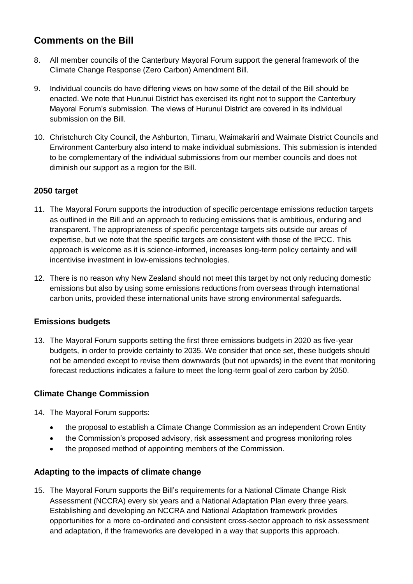## **Comments on the Bill**

- 8. All member councils of the Canterbury Mayoral Forum support the general framework of the Climate Change Response (Zero Carbon) Amendment Bill.
- 9. Individual councils do have differing views on how some of the detail of the Bill should be enacted. We note that Hurunui District has exercised its right not to support the Canterbury Mayoral Forum's submission. The views of Hurunui District are covered in its individual submission on the Bill.
- 10. Christchurch City Council, the Ashburton, Timaru, Waimakariri and Waimate District Councils and Environment Canterbury also intend to make individual submissions. This submission is intended to be complementary of the individual submissions from our member councils and does not diminish our support as a region for the Bill.

#### **2050 target**

- 11. The Mayoral Forum supports the introduction of specific percentage emissions reduction targets as outlined in the Bill and an approach to reducing emissions that is ambitious, enduring and transparent. The appropriateness of specific percentage targets sits outside our areas of expertise, but we note that the specific targets are consistent with those of the IPCC. This approach is welcome as it is science-informed, increases long-term policy certainty and will incentivise investment in low-emissions technologies.
- 12. There is no reason why New Zealand should not meet this target by not only reducing domestic emissions but also by using some emissions reductions from overseas through international carbon units, provided these international units have strong environmental safeguards.

#### **Emissions budgets**

13. The Mayoral Forum supports setting the first three emissions budgets in 2020 as five-year budgets, in order to provide certainty to 2035. We consider that once set, these budgets should not be amended except to revise them downwards (but not upwards) in the event that monitoring forecast reductions indicates a failure to meet the long-term goal of zero carbon by 2050.

#### **Climate Change Commission**

- 14. The Mayoral Forum supports:
	- the proposal to establish a Climate Change Commission as an independent Crown Entity
	- the Commission's proposed advisory, risk assessment and progress monitoring roles
	- the proposed method of appointing members of the Commission.

#### **Adapting to the impacts of climate change**

15. The Mayoral Forum supports the Bill's requirements for a National Climate Change Risk Assessment (NCCRA) every six years and a National Adaptation Plan every three years. Establishing and developing an NCCRA and National Adaptation framework provides opportunities for a more co-ordinated and consistent cross-sector approach to risk assessment and adaptation, if the frameworks are developed in a way that supports this approach.